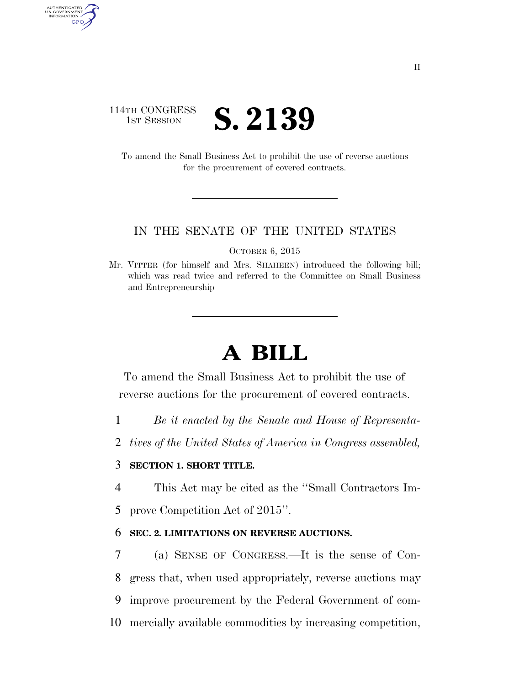## 114TH CONGRESS **IST SESSION S. 2139**

AUTHENTICATED U.S. GOVERNMENT GPO

> To amend the Small Business Act to prohibit the use of reverse auctions for the procurement of covered contracts.

#### IN THE SENATE OF THE UNITED STATES

OCTOBER 6, 2015

Mr. VITTER (for himself and Mrs. SHAHEEN) introduced the following bill; which was read twice and referred to the Committee on Small Business and Entrepreneurship

# **A BILL**

To amend the Small Business Act to prohibit the use of reverse auctions for the procurement of covered contracts.

- 1 *Be it enacted by the Senate and House of Representa-*
- 2 *tives of the United States of America in Congress assembled,*

### 3 **SECTION 1. SHORT TITLE.**

4 This Act may be cited as the ''Small Contractors Im-5 prove Competition Act of 2015''.

### 6 **SEC. 2. LIMITATIONS ON REVERSE AUCTIONS.**

 (a) SENSE OF CONGRESS.—It is the sense of Con- gress that, when used appropriately, reverse auctions may improve procurement by the Federal Government of com-mercially available commodities by increasing competition,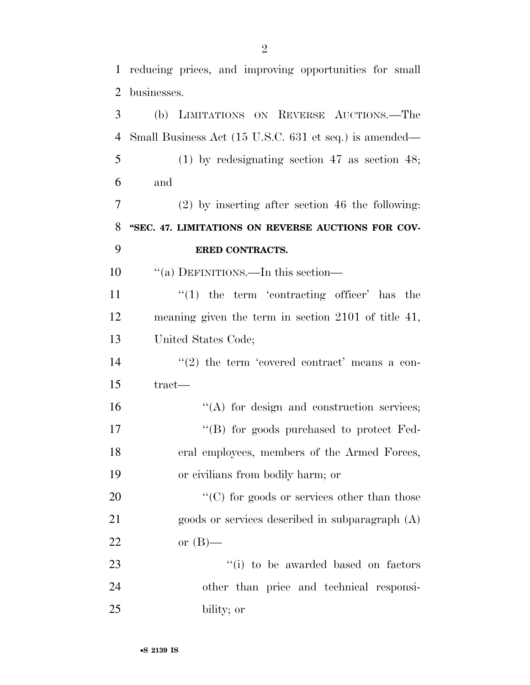reducing prices, and improving opportunities for small

 businesses. (b) LIMITATIONS ON REVERSE AUCTIONS.—The Small Business Act (15 U.S.C. 631 et seq.) is amended— (1) by redesignating section 47 as section 48; and (2) by inserting after section 46 the following: **''SEC. 47. LIMITATIONS ON REVERSE AUCTIONS FOR COV- ERED CONTRACTS.**  ''(a) DEFINITIONS.—In this section—  $\frac{1}{2}$  the term 'contracting officer' has the meaning given the term in section 2101 of title 41, United States Code;  $\frac{14}{2}$  ''(2) the term 'covered contract' means a con- tract—  $"({\rm A})$  for design and construction services;  $\text{``(B)}$  for goods purchased to protect Fed-eral employees, members of the Armed Forces,

 or civilians from bodily harm; or 20  $\cdot$  (C) for goods or services other than those goods or services described in subparagraph (A)

or (B)—

23  $\frac{1}{1}$  to be awarded based on factors other than price and technical responsi-bility; or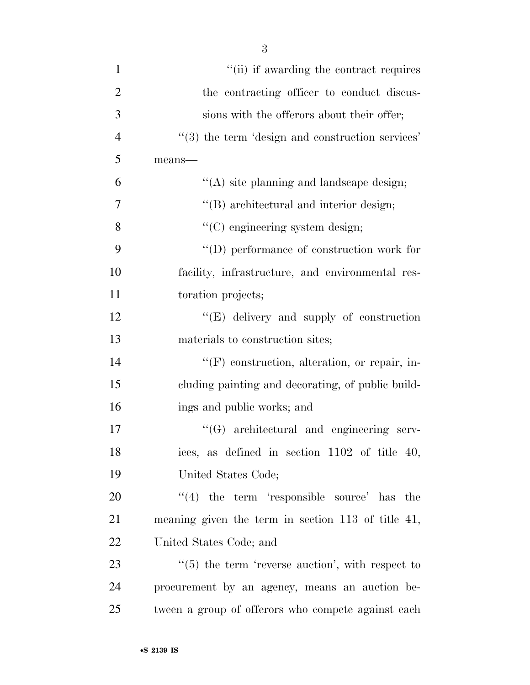| $\mathbf{1}$   | "(ii) if awarding the contract requires                      |
|----------------|--------------------------------------------------------------|
| $\overline{2}$ | the contracting officer to conduct discus-                   |
| 3              | sions with the offerors about their offer;                   |
| $\overline{4}$ | $\cdot\cdot$ (3) the term 'design and construction services' |
| 5              | means-                                                       |
| 6              | $\lq\lq$ site planning and landscape design;                 |
| 7              | "(B) architectural and interior design;                      |
| 8              | "(C) engineering system design;                              |
| 9              | $\lq\lq$ (D) performance of construction work for            |
| 10             | facility, infrastructure, and environmental res-             |
| 11             | toration projects;                                           |
| 12             | "(E) delivery and supply of construction                     |
| 13             | materials to construction sites;                             |
| 14             | $\lq\lq(F)$ construction, alteration, or repair, in-         |
| 15             | cluding painting and decorating, of public build-            |
| 16             | ings and public works; and                                   |
| 17             | $\lq\lq(G)$ architectural and engineering serv-              |
| 18             | ices, as defined in section 1102 of title 40,                |
| 19             | United States Code;                                          |
| 20             | $(4)$ the term 'responsible source' has the                  |
| 21             | meaning given the term in section 113 of title 41,           |
| 22             | United States Code; and                                      |
| 23             | $\cdot\cdot$ (5) the term 'reverse auction', with respect to |
| 24             | procurement by an agency, means an auction be-               |
| 25             | tween a group of offerors who compete against each           |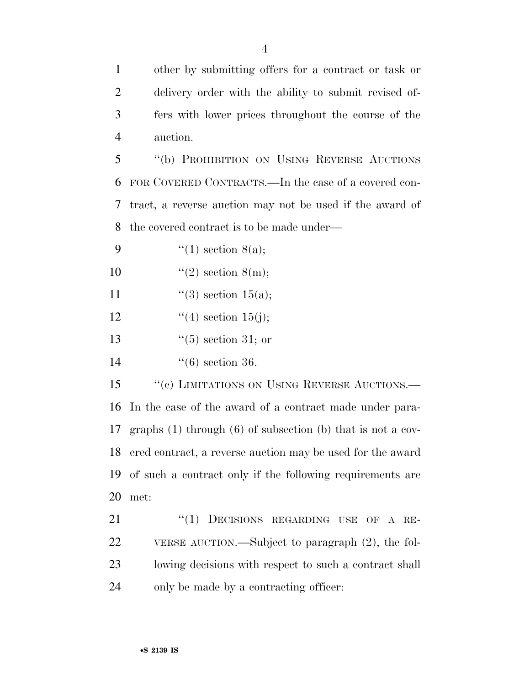other by submitting offers for a contract or task or delivery order with the ability to submit revised of- fers with lower prices throughout the course of the auction.

 ''(b) PROHIBITION ON USING REVERSE AUCTIONS FOR COVERED CONTRACTS.—In the case of a covered con- tract, a reverse auction may not be used if the award of the covered contract is to be made under—

- 9  $\frac{4}{1}$  section 8(a);
- 10  $\text{``(2) section } 8(m);$
- 11  $(3)$  section 15(a);
- 12  $(4)$  section 15(j);
- 13  $\frac{13}{15}$   $\frac{13}{15}$  or
- ''(6) section 36.

15 "(c) LIMITATIONS ON USING REVERSE AUCTIONS.— In the case of the award of a contract made under para- graphs (1) through (6) of subsection (b) that is not a cov- ered contract, a reverse auction may be used for the award of such a contract only if the following requirements are met:

21 "(1) DECISIONS REGARDING USE OF A RE- VERSE AUCTION.—Subject to paragraph (2), the fol- lowing decisions with respect to such a contract shall only be made by a contracting officer: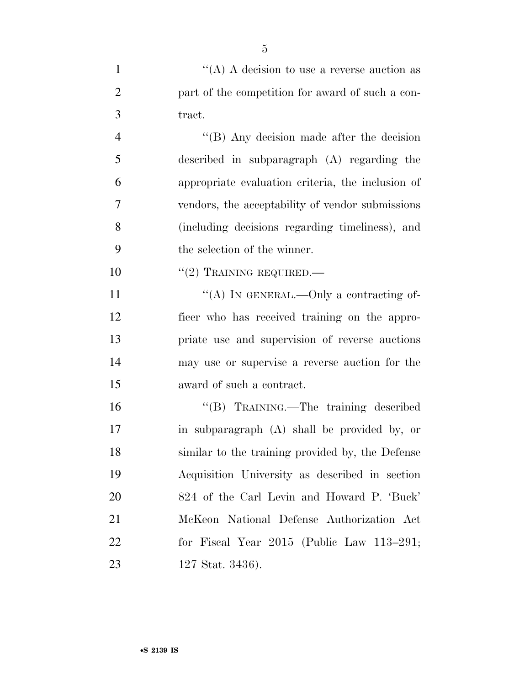| $\mathbf{1}$   | "(A) A decision to use a reverse auction as       |
|----------------|---------------------------------------------------|
| $\overline{2}$ | part of the competition for award of such a con-  |
| 3              | tract.                                            |
| 4              | "(B) Any decision made after the decision         |
| 5              | described in subparagraph (A) regarding the       |
| 6              | appropriate evaluation criteria, the inclusion of |
| 7              | vendors, the acceptability of vendor submissions  |
| 8              | (including decisions regarding timeliness), and   |
| 9              | the selection of the winner.                      |
| 10             | $``(2)$ TRAINING REQUIRED.—                       |
| 11             | "(A) IN GENERAL.—Only a contracting of-           |
| 12             | ficer who has received training on the appro-     |
| 13             | priate use and supervision of reverse auctions    |
| 14             | may use or supervise a reverse auction for the    |
| 15             | award of such a contract.                         |
| 16             | "(B) TRAINING.—The training described             |
| 17             | in subparagraph (A) shall be provided by, or      |
| 18             | similar to the training provided by, the Defense  |
| 19             | Acquisition University as described in section    |
| 20             | 824 of the Carl Levin and Howard P. 'Buck'        |
| 21             | McKeon National Defense Authorization Act         |
| <u>22</u>      | for Fiscal Year $2015$ (Public Law $113-291$ ;    |
| 23             | 127 Stat. 3436).                                  |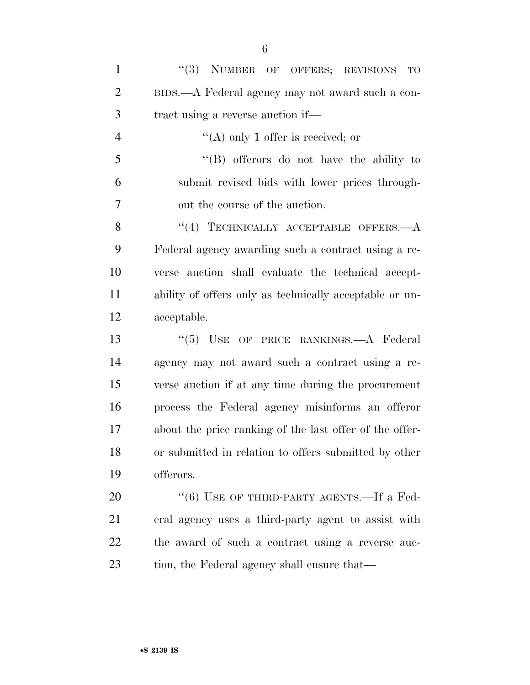| $\mathbf{1}$   | "(3) NUMBER OF OFFERS; REVISIONS<br>TO                  |
|----------------|---------------------------------------------------------|
| $\overline{2}$ | BIDS.—A Federal agency may not award such a con-        |
| 3              | tract using a reverse auction if—                       |
| $\overline{4}$ | "(A) only 1 offer is received; or                       |
| 5              | "(B) offerors do not have the ability to                |
| 6              | submit revised bids with lower prices through-          |
| 7              | out the course of the auction.                          |
| 8              | $(4)$ TECHNICALLY ACCEPTABLE OFFERS.— $A$               |
| 9              | Federal agency awarding such a contract using a re-     |
| 10             | verse auction shall evaluate the technical accept-      |
| 11             | ability of offers only as technically acceptable or un- |
| 12             | acceptable.                                             |
| 13             | "(5) USE OF PRICE RANKINGS.—A Federal                   |
| 14             | agency may not award such a contract using a re-        |
| 15             | verse auction if at any time during the procurement     |
| 16             | process the Federal agency misinforms an offeror        |
| 17             | about the price ranking of the last offer of the offer- |
| 18             | or submitted in relation to offers submitted by other   |
| 19             | offerors.                                               |
| 20             | $``(6)$ USE OF THIRD-PARTY AGENTS.—If a Fed-            |
| 21             | eral agency uses a third-party agent to assist with     |
| 22             | the award of such a contract using a reverse auc-       |
| 23             | tion, the Federal agency shall ensure that—             |